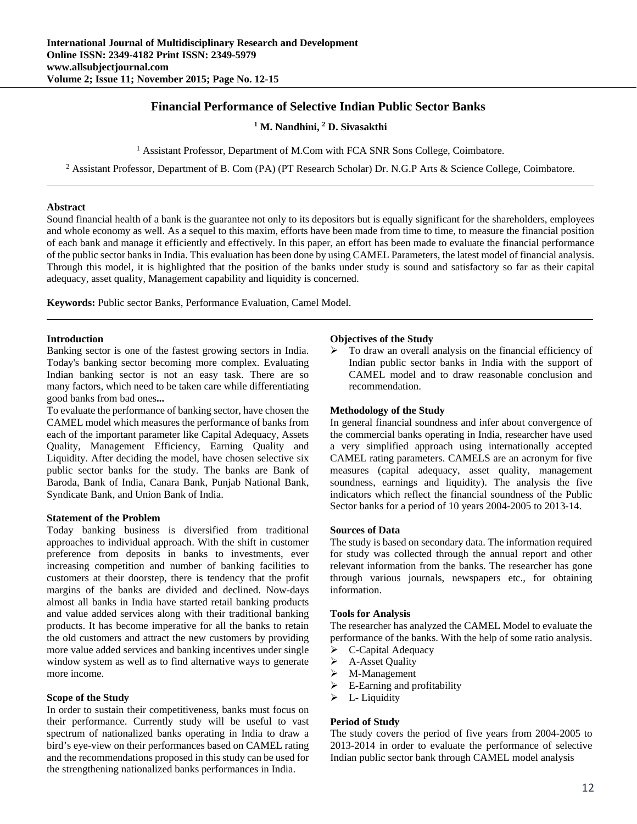# **Financial Performance of Selective Indian Public Sector Banks**

<sup>1</sup> M. Nandhini, <sup>2</sup> D. Sivasakthi

<sup>1</sup> Assistant Professor, Department of M.Com with FCA SNR Sons College, Coimbatore.

<sup>2</sup> Assistant Professor, Department of B. Com (PA) (PT Research Scholar) Dr. N.G.P Arts & Science College, Coimbatore.

# **Abstract**

Sound financial health of a bank is the guarantee not only to its depositors but is equally significant for the shareholders, employees and whole economy as well. As a sequel to this maxim, efforts have been made from time to time, to measure the financial position of each bank and manage it efficiently and effectively. In this paper, an effort has been made to evaluate the financial performance of the public sector banks in India. This evaluation has been done by using CAMEL Parameters, the latest model of financial analysis. Through this model, it is highlighted that the position of the banks under study is sound and satisfactory so far as their capital adequacy, asset quality, Management capability and liquidity is concerned.

**Keywords:** Public sector Banks, Performance Evaluation, Camel Model.

### **Introduction**

Banking sector is one of the fastest growing sectors in India. Today's banking sector becoming more complex. Evaluating Indian banking sector is not an easy task. There are so many factors, which need to be taken care while differentiating good banks from bad ones**...** 

To evaluate the performance of banking sector, have chosen the CAMEL model which measures the performance of banks from each of the important parameter like Capital Adequacy, Assets Quality, Management Efficiency, Earning Quality and Liquidity. After deciding the model, have chosen selective six public sector banks for the study. The banks are Bank of Baroda, Bank of India, Canara Bank, Punjab National Bank, Syndicate Bank, and Union Bank of India.

#### **Statement of the Problem**

Today banking business is diversified from traditional approaches to individual approach. With the shift in customer preference from deposits in banks to investments, ever increasing competition and number of banking facilities to customers at their doorstep, there is tendency that the profit margins of the banks are divided and declined. Now-days almost all banks in India have started retail banking products and value added services along with their traditional banking products. It has become imperative for all the banks to retain the old customers and attract the new customers by providing more value added services and banking incentives under single window system as well as to find alternative ways to generate more income.

# **Scope of the Study**

In order to sustain their competitiveness, banks must focus on their performance. Currently study will be useful to vast spectrum of nationalized banks operating in India to draw a bird's eye-view on their performances based on CAMEL rating and the recommendations proposed in this study can be used for the strengthening nationalized banks performances in India.

#### **Objectives of the Study**

 $\triangleright$  To draw an overall analysis on the financial efficiency of Indian public sector banks in India with the support of CAMEL model and to draw reasonable conclusion and recommendation.

### **Methodology of the Study**

In general financial soundness and infer about convergence of the commercial banks operating in India, researcher have used a very simplified approach using internationally accepted CAMEL rating parameters. CAMELS are an acronym for five measures (capital adequacy, asset quality, management soundness, earnings and liquidity). The analysis the five indicators which reflect the financial soundness of the Public Sector banks for a period of 10 years 2004-2005 to 2013-14.

#### **Sources of Data**

The study is based on secondary data. The information required for study was collected through the annual report and other relevant information from the banks. The researcher has gone through various journals, newspapers etc., for obtaining information.

#### **Tools for Analysis**

The researcher has analyzed the CAMEL Model to evaluate the performance of the banks. With the help of some ratio analysis.

- C-Capital Adequacy
- $\triangleright$  A-Asset Quality
- M-Management
- $\triangleright$  E-Earning and profitability
- $\triangleright$  L- Liquidity

#### **Period of Study**

The study covers the period of five years from 2004-2005 to 2013-2014 in order to evaluate the performance of selective Indian public sector bank through CAMEL model analysis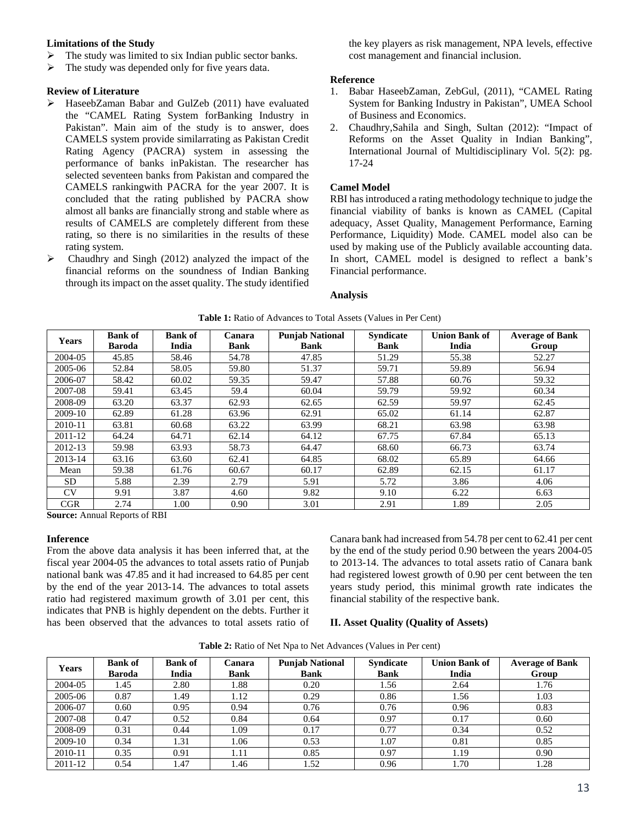# **Limitations of the Study**

- $\triangleright$  The study was limited to six Indian public sector banks.
- $\triangleright$  The study was depended only for five years data.

# **Review of Literature**

- HaseebZaman Babar and GulZeb (2011) have evaluated the "CAMEL Rating System forBanking Industry in Pakistan". Main aim of the study is to answer, does CAMELS system provide similarrating as Pakistan Credit Rating Agency (PACRA) system in assessing the performance of banks inPakistan. The researcher has selected seventeen banks from Pakistan and compared the CAMELS rankingwith PACRA for the year 2007. It is concluded that the rating published by PACRA show almost all banks are financially strong and stable where as results of CAMELS are completely different from these rating, so there is no similarities in the results of these rating system.
- $\triangleright$  Chaudhry and Singh (2012) analyzed the impact of the financial reforms on the soundness of Indian Banking through its impact on the asset quality. The study identified

the key players as risk management, NPA levels, effective cost management and financial inclusion.

### **Reference**

- 1. Babar HaseebZaman, ZebGul, (2011), "CAMEL Rating System for Banking Industry in Pakistan", UMEA School of Business and Economics.
- 2. Chaudhry,Sahila and Singh, Sultan (2012): "Impact of Reforms on the Asset Quality in Indian Banking", International Journal of Multidisciplinary Vol. 5(2): pg. 17-24

# **Camel Model**

RBI has introduced a rating methodology technique to judge the financial viability of banks is known as CAMEL (Capital adequacy, Asset Quality, Management Performance, Earning Performance, Liquidity) Mode. CAMEL model also can be used by making use of the Publicly available accounting data. In short, CAMEL model is designed to reflect a bank's Financial performance.

# **Analysis**

| <b>Years</b> | <b>Bank of</b><br><b>Baroda</b> | <b>Bank of</b><br>India | Canara<br><b>Bank</b> | <b>Punjab National</b><br><b>Bank</b> | <b>Syndicate</b><br><b>Bank</b> | <b>Union Bank of</b><br>India | <b>Average of Bank</b><br>Group |
|--------------|---------------------------------|-------------------------|-----------------------|---------------------------------------|---------------------------------|-------------------------------|---------------------------------|
| 2004-05      | 45.85                           | 58.46                   | 54.78                 | 47.85                                 | 51.29                           | 55.38                         | 52.27                           |
| 2005-06      | 52.84                           | 58.05                   | 59.80                 | 51.37                                 | 59.71                           | 59.89                         | 56.94                           |
| 2006-07      | 58.42                           | 60.02                   | 59.35                 | 59.47                                 | 57.88                           | 60.76                         | 59.32                           |
| 2007-08      | 59.41                           | 63.45                   | 59.4                  | 60.04                                 | 59.79                           | 59.92                         | 60.34                           |
| 2008-09      | 63.20                           | 63.37                   | 62.93                 | 62.65                                 | 62.59                           | 59.97                         | 62.45                           |
| 2009-10      | 62.89                           | 61.28                   | 63.96                 | 62.91                                 | 65.02                           | 61.14                         | 62.87                           |
| 2010-11      | 63.81                           | 60.68                   | 63.22                 | 63.99                                 | 68.21                           | 63.98                         | 63.98                           |
| 2011-12      | 64.24                           | 64.71                   | 62.14                 | 64.12                                 | 67.75                           | 67.84                         | 65.13                           |
| 2012-13      | 59.98                           | 63.93                   | 58.73                 | 64.47                                 | 68.60                           | 66.73                         | 63.74                           |
| 2013-14      | 63.16                           | 63.60                   | 62.41                 | 64.85                                 | 68.02                           | 65.89                         | 64.66                           |
| Mean         | 59.38                           | 61.76                   | 60.67                 | 60.17                                 | 62.89                           | 62.15                         | 61.17                           |
| <b>SD</b>    | 5.88                            | 2.39                    | 2.79                  | 5.91                                  | 5.72                            | 3.86                          | 4.06                            |
| <b>CV</b>    | 9.91                            | 3.87                    | 4.60                  | 9.82                                  | 9.10                            | 6.22                          | 6.63                            |
| <b>CGR</b>   | 2.74                            | 1.00                    | 0.90                  | 3.01                                  | 2.91                            | 1.89                          | 2.05                            |

**Table 1:** Ratio of Advances to Total Assets (Values in Per Cent)

**Source:** Annual Reports of RBI

### **Inference**

From the above data analysis it has been inferred that, at the fiscal year 2004-05 the advances to total assets ratio of Punjab national bank was 47.85 and it had increased to 64.85 per cent by the end of the year 2013-14. The advances to total assets ratio had registered maximum growth of 3.01 per cent, this indicates that PNB is highly dependent on the debts. Further it has been observed that the advances to total assets ratio of

Canara bank had increased from 54.78 per cent to 62.41 per cent by the end of the study period 0.90 between the years 2004-05 to 2013-14. The advances to total assets ratio of Canara bank had registered lowest growth of 0.90 per cent between the ten years study period, this minimal growth rate indicates the financial stability of the respective bank.

#### **II. Asset Quality (Quality of Assets)**

| Table 2: Ratio of Net Npa to Net Advances (Values in Per cent) |  |
|----------------------------------------------------------------|--|
|----------------------------------------------------------------|--|

| <b>Years</b> | <b>Bank of</b><br><b>Baroda</b> | <b>Bank of</b><br>India | Canara<br><b>Bank</b> | <b>Punjab National</b><br><b>Bank</b> | <b>Syndicate</b><br><b>Bank</b> | <b>Union Bank of</b><br>India | <b>Average of Bank</b><br>Group |
|--------------|---------------------------------|-------------------------|-----------------------|---------------------------------------|---------------------------------|-------------------------------|---------------------------------|
| 2004-05      | 1.45                            | 2.80                    | 1.88                  | 0.20                                  | 1.56                            | 2.64                          | 1.76                            |
| 2005-06      | 0.87                            | 1.49                    | 1.12                  | 0.29                                  | 0.86                            | 1.56                          | 1.03                            |
| 2006-07      | 0.60                            | 0.95                    | 0.94                  | 0.76                                  | 0.76                            | 0.96                          | 0.83                            |
| 2007-08      | 0.47                            | 0.52                    | 0.84                  | 0.64                                  | 0.97                            | 0.17                          | 0.60                            |
| 2008-09      | 0.31                            | 0.44                    | 1.09                  | 0.17                                  | 0.77                            | 0.34                          | 0.52                            |
| 2009-10      | 0.34                            | 1.31                    | 1.06                  | 0.53                                  | 1.07                            | 0.81                          | 0.85                            |
| 2010-11      | 0.35                            | 0.91                    | 1.11                  | 0.85                                  | 0.97                            | 1.19                          | 0.90                            |
| 2011-12      | 0.54                            | 1.47                    | 1.46                  | 1.52                                  | 0.96                            | l.70                          | 1.28                            |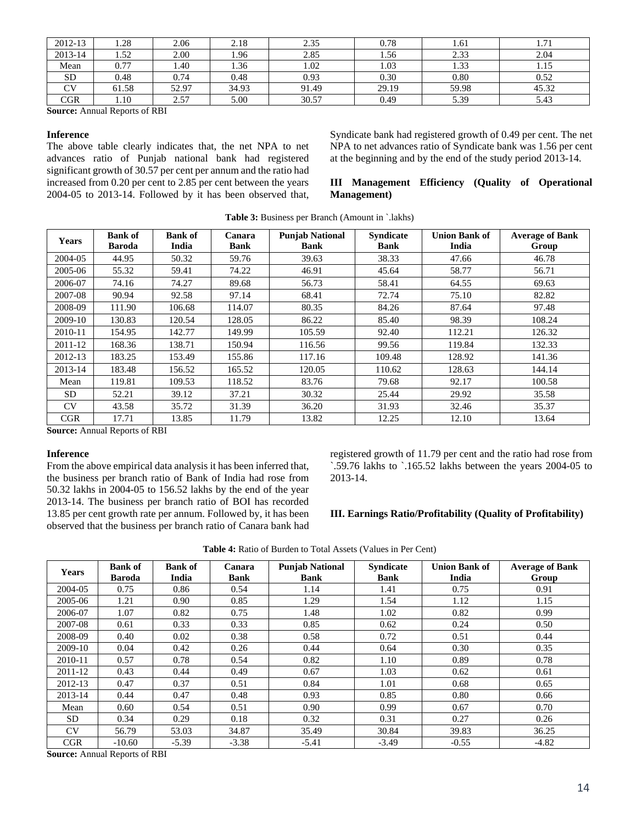| 2012-13   | 1.28  | 2.06  | 2.18  | 2.35  | 0.78  | 1.61  | 1.71  |
|-----------|-------|-------|-------|-------|-------|-------|-------|
| 2013-14   | 1.52  | 2.00  | 1.96  | 2.85  | 1.56  | 2.33  | 2.04  |
| Mean      | 0.77  | 1.40  | 1.36  | 1.02  | 1.03  | 1.33  | 1.15  |
| <b>SD</b> | 0.48  | 0.74  | 0.48  | 0.93  | 0.30  | 0.80  | 0.52  |
| CV        | 61.58 | 52.97 | 34.93 | 91.49 | 29.19 | 59.98 | 45.32 |
| CGR       | 1.10  | 2.57  | 5.00  | 30.57 | 0.49  | 5.39  | 5.43  |

**Source:** Annual Reports of RBI

#### **Inference**

The above table clearly indicates that, the net NPA to net advances ratio of Punjab national bank had registered significant growth of 30.57 per cent per annum and the ratio had increased from 0.20 per cent to 2.85 per cent between the years 2004-05 to 2013-14. Followed by it has been observed that,

Syndicate bank had registered growth of 0.49 per cent. The net NPA to net advances ratio of Syndicate bank was 1.56 per cent at the beginning and by the end of the study period 2013-14.

# **III Management Efficiency (Quality of Operational Management)**

| <b>Years</b> | <b>Bank of</b><br><b>Baroda</b> | <b>Bank of</b><br>India | Canara<br><b>Bank</b> | <b>Punjab National</b><br><b>Bank</b> | <b>Syndicate</b><br><b>Bank</b> | <b>Union Bank of</b><br>India | <b>Average of Bank</b><br>Group |
|--------------|---------------------------------|-------------------------|-----------------------|---------------------------------------|---------------------------------|-------------------------------|---------------------------------|
| 2004-05      | 44.95                           | 50.32                   | 59.76                 | 39.63                                 | 38.33                           | 47.66                         | 46.78                           |
| 2005-06      | 55.32                           | 59.41                   | 74.22                 | 46.91                                 | 45.64                           | 58.77                         | 56.71                           |
| 2006-07      | 74.16                           | 74.27                   | 89.68                 | 56.73                                 | 58.41                           | 64.55                         | 69.63                           |
| 2007-08      | 90.94                           | 92.58                   | 97.14                 | 68.41                                 | 72.74                           | 75.10                         | 82.82                           |
| 2008-09      | 111.90                          | 106.68                  | 114.07                | 80.35                                 | 84.26                           | 87.64                         | 97.48                           |
| 2009-10      | 130.83                          | 120.54                  | 128.05                | 86.22                                 | 85.40                           | 98.39                         | 108.24                          |
| 2010-11      | 154.95                          | 142.77                  | 149.99                | 105.59                                | 92.40                           | 112.21                        | 126.32                          |
| 2011-12      | 168.36                          | 138.71                  | 150.94                | 116.56                                | 99.56                           | 119.84                        | 132.33                          |
| 2012-13      | 183.25                          | 153.49                  | 155.86                | 117.16                                | 109.48                          | 128.92                        | 141.36                          |
| 2013-14      | 183.48                          | 156.52                  | 165.52                | 120.05                                | 110.62                          | 128.63                        | 144.14                          |
| Mean         | 119.81                          | 109.53                  | 118.52                | 83.76                                 | 79.68                           | 92.17                         | 100.58                          |
| <b>SD</b>    | 52.21                           | 39.12                   | 37.21                 | 30.32                                 | 25.44                           | 29.92                         | 35.58                           |
| CV           | 43.58                           | 35.72                   | 31.39                 | 36.20                                 | 31.93                           | 32.46                         | 35.37                           |
| <b>CGR</b>   | 17.71                           | 13.85                   | 11.79                 | 13.82                                 | 12.25                           | 12.10                         | 13.64                           |

**Table 3:** Business per Branch (Amount in `.lakhs)

**Source:** Annual Reports of RBI

#### **Inference**

From the above empirical data analysis it has been inferred that, the business per branch ratio of Bank of India had rose from 50.32 lakhs in 2004-05 to 156.52 lakhs by the end of the year 2013-14. The business per branch ratio of BOI has recorded 13.85 per cent growth rate per annum. Followed by, it has been observed that the business per branch ratio of Canara bank had registered growth of 11.79 per cent and the ratio had rose from `.59.76 lakhs to `.165.52 lakhs between the years 2004-05 to 2013-14.

#### **III. Earnings Ratio/Profitability (Quality of Profitability)**

| <b>Years</b> | <b>Bank of</b><br><b>Baroda</b> | <b>Bank of</b><br>India | Canara<br><b>Bank</b> | <b>Punjab National</b><br><b>Bank</b> | <b>Syndicate</b><br><b>Bank</b> | <b>Union Bank of</b><br>India | <b>Average of Bank</b><br>Group |
|--------------|---------------------------------|-------------------------|-----------------------|---------------------------------------|---------------------------------|-------------------------------|---------------------------------|
| 2004-05      | 0.75                            | 0.86                    | 0.54                  | 1.14                                  | 1.41                            | 0.75                          | 0.91                            |
| 2005-06      | 1.21                            | 0.90                    | 0.85                  | 1.29                                  | 1.54                            | 1.12                          | 1.15                            |
| 2006-07      | 1.07                            | 0.82                    | 0.75                  | 1.48                                  | 1.02                            | 0.82                          | 0.99                            |
| 2007-08      | 0.61                            | 0.33                    | 0.33                  | 0.85                                  | 0.62                            | 0.24                          | 0.50                            |
| 2008-09      | 0.40                            | 0.02                    | 0.38                  | 0.58                                  | 0.72                            | 0.51                          | 0.44                            |
| 2009-10      | 0.04                            | 0.42                    | 0.26                  | 0.44                                  | 0.64                            | 0.30                          | 0.35                            |
| 2010-11      | 0.57                            | 0.78                    | 0.54                  | 0.82                                  | 1.10                            | 0.89                          | 0.78                            |
| 2011-12      | 0.43                            | 0.44                    | 0.49                  | 0.67                                  | 1.03                            | 0.62                          | 0.61                            |
| 2012-13      | 0.47                            | 0.37                    | 0.51                  | 0.84                                  | 1.01                            | 0.68                          | 0.65                            |
| 2013-14      | 0.44                            | 0.47                    | 0.48                  | 0.93                                  | 0.85                            | 0.80                          | 0.66                            |
| Mean         | 0.60                            | 0.54                    | 0.51                  | 0.90                                  | 0.99                            | 0.67                          | 0.70                            |
| SD.          | 0.34                            | 0.29                    | 0.18                  | 0.32                                  | 0.31                            | 0.27                          | 0.26                            |
| <b>CV</b>    | 56.79                           | 53.03                   | 34.87                 | 35.49                                 | 30.84                           | 39.83                         | 36.25                           |
| CGR          | $-10.60$                        | $-5.39$<br>25.5         | $-3.38$               | $-5.41$                               | $-3.49$                         | $-0.55$                       | $-4.82$                         |

**Table 4:** Ratio of Burden to Total Assets (Values in Per Cent)

**Source:** Annual Reports of RBI